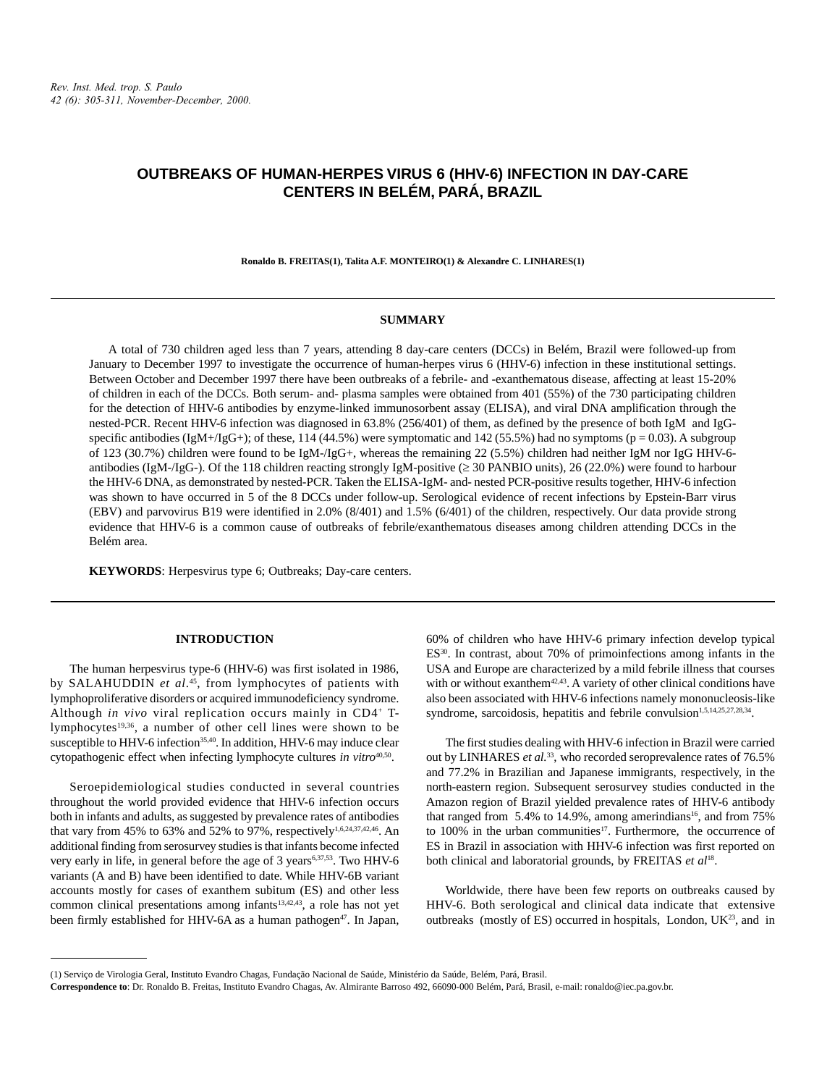# **OUTBREAKS OF HUMAN-HERPES VIRUS 6 (HHV-6) INFECTION IN DAY-CARE CENTERS IN BELÉM, PARÁ, BRAZIL**

**Ronaldo B. FREITAS(1), Talita A.F. MONTEIRO(1) & Alexandre C. LINHARES(1)**

#### **SUMMARY**

A total of 730 children aged less than 7 years, attending 8 day-care centers (DCCs) in Belém, Brazil were followed-up from January to December 1997 to investigate the occurrence of human-herpes virus 6 (HHV-6) infection in these institutional settings. Between October and December 1997 there have been outbreaks of a febrile- and -exanthematous disease, affecting at least 15-20% of children in each of the DCCs. Both serum- and- plasma samples were obtained from 401 (55%) of the 730 participating children for the detection of HHV-6 antibodies by enzyme-linked immunosorbent assay (ELISA), and viral DNA amplification through the nested-PCR. Recent HHV-6 infection was diagnosed in 63.8% (256/401) of them, as defined by the presence of both IgM and IgGspecific antibodies (IgM+/IgG+); of these, 114 (44.5%) were symptomatic and 142 (55.5%) had no symptoms ( $p = 0.03$ ). A subgroup of 123 (30.7%) children were found to be IgM-/IgG+, whereas the remaining 22 (5.5%) children had neither IgM nor IgG HHV-6 antibodies (IgM-/IgG-). Of the 118 children reacting strongly IgM-positive ( $\geq$  30 PANBIO units), 26 (22.0%) were found to harbour the HHV-6 DNA, as demonstrated by nested-PCR. Taken the ELISA-IgM- and- nested PCR-positive results together, HHV-6 infection was shown to have occurred in 5 of the 8 DCCs under follow-up. Serological evidence of recent infections by Epstein-Barr virus (EBV) and parvovirus B19 were identified in 2.0% (8/401) and 1.5% (6/401) of the children, respectively. Our data provide strong evidence that HHV-6 is a common cause of outbreaks of febrile/exanthematous diseases among children attending DCCs in the Belém area.

**KEYWORDS**: Herpesvirus type 6; Outbreaks; Day-care centers.

# **INTRODUCTION**

The human herpesvirus type-6 (HHV-6) was first isolated in 1986, by SALAHUDDIN *et al*. 45, from lymphocytes of patients with lymphoproliferative disorders or acquired immunodeficiency syndrome. Although *in vivo* viral replication occurs mainly in CD4+ Tlymphocytes<sup>19,36</sup>, a number of other cell lines were shown to be susceptible to HHV-6 infection<sup>35,40</sup>. In addition, HHV-6 may induce clear cytopathogenic effect when infecting lymphocyte cultures *in vitro*<sup>40,50</sup>.

Seroepidemiological studies conducted in several countries throughout the world provided evidence that HHV-6 infection occurs both in infants and adults, as suggested by prevalence rates of antibodies that vary from 45% to 63% and 52% to 97%, respectively<sup>1,6,24,37,42,46</sup>. An additional finding from serosurvey studies is that infants become infected very early in life, in general before the age of 3 years<sup>6,37,53</sup>. Two HHV-6 variants (A and B) have been identified to date. While HHV-6B variant accounts mostly for cases of exanthem subitum (ES) and other less common clinical presentations among infants<sup>13,42,43</sup>, a role has not yet been firmly established for HHV-6A as a human pathogen<sup>47</sup>. In Japan, 60% of children who have HHV-6 primary infection develop typical ES30. In contrast, about 70% of primoinfections among infants in the USA and Europe are characterized by a mild febrile illness that courses with or without exanthem<sup>42,43</sup>. A variety of other clinical conditions have also been associated with HHV-6 infections namely mononucleosis-like syndrome, sarcoidosis, hepatitis and febrile convulsion<sup>1,5,14,25,27,28,34</sup>.

The first studies dealing with HHV-6 infection in Brazil were carried out by LINHARES et al.<sup>33</sup>, who recorded seroprevalence rates of 76.5% and 77.2% in Brazilian and Japanese immigrants, respectively, in the north-eastern region. Subsequent serosurvey studies conducted in the Amazon region of Brazil yielded prevalence rates of HHV-6 antibody that ranged from 5.4% to 14.9%, among amerindians<sup>16</sup>, and from 75% to 100% in the urban communities<sup>17</sup>. Furthermore, the occurrence of ES in Brazil in association with HHV-6 infection was first reported on both clinical and laboratorial grounds, by FREITAS *et al*18.

Worldwide, there have been few reports on outbreaks caused by HHV-6. Both serological and clinical data indicate that extensive outbreaks (mostly of ES) occurred in hospitals, London,  $UK^{23}$ , and in

<sup>(1)</sup> Serviço de Virologia Geral, Instituto Evandro Chagas, Fundação Nacional de Saúde, Ministério da Saúde, Belém, Pará, Brasil.

**Correspondence to**: Dr. Ronaldo B. Freitas, Instituto Evandro Chagas, Av. Almirante Barroso 492, 66090-000 Belém, Pará, Brasil, e-mail: ronaldo@iec.pa.gov.br.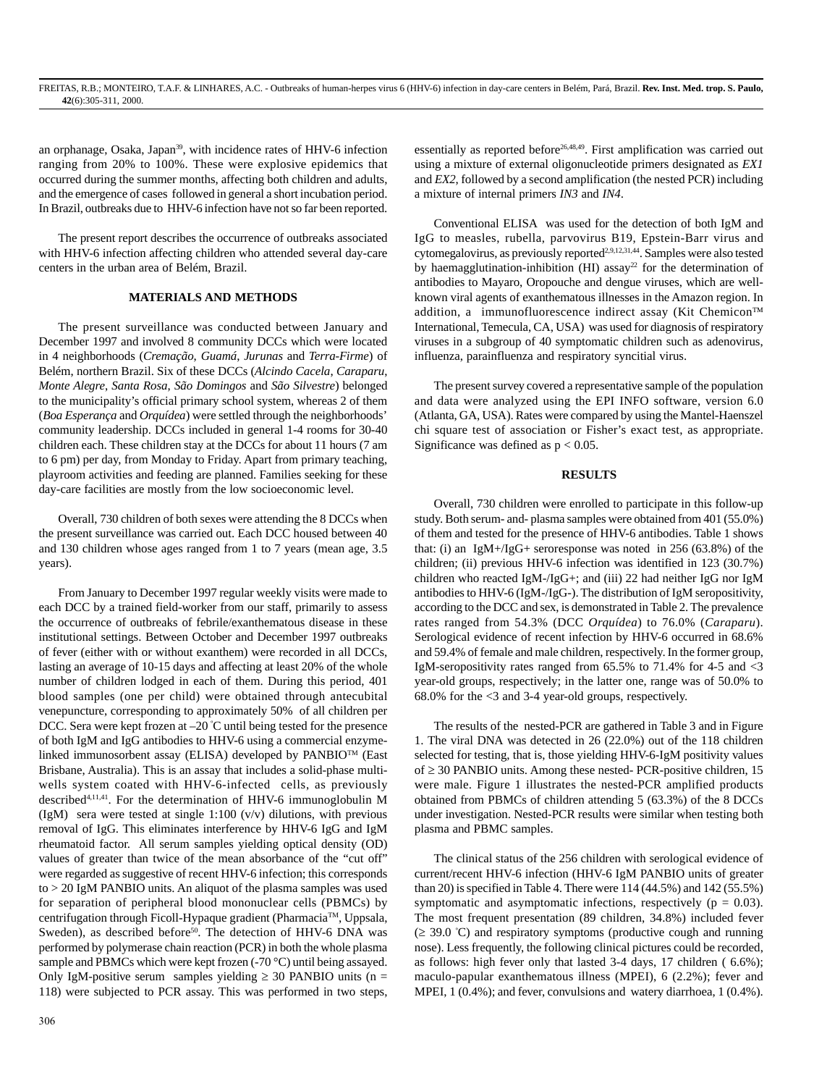an orphanage, Osaka, Japan<sup>39</sup>, with incidence rates of HHV-6 infection ranging from 20% to 100%. These were explosive epidemics that occurred during the summer months, affecting both children and adults, and the emergence of cases followed in general a short incubation period. In Brazil, outbreaks due to HHV-6 infection have not so far been reported.

The present report describes the occurrence of outbreaks associated with HHV-6 infection affecting children who attended several day-care centers in the urban area of Belém, Brazil.

# **MATERIALS AND METHODS**

The present surveillance was conducted between January and December 1997 and involved 8 community DCCs which were located in 4 neighborhoods (*Cremação*, *Guamá*, *Jurunas* and *Terra-Firme*) of Belém, northern Brazil. Six of these DCCs (*Alcindo Cacela*, *Caraparu*, *Monte Alegre*, *Santa Rosa*, *São Domingos* and *São Silvestre*) belonged to the municipality's official primary school system, whereas 2 of them (*Boa Esperança* and *Orquídea*) were settled through the neighborhoods' community leadership. DCCs included in general 1-4 rooms for 30-40 children each. These children stay at the DCCs for about 11 hours (7 am to 6 pm) per day, from Monday to Friday. Apart from primary teaching, playroom activities and feeding are planned. Families seeking for these day-care facilities are mostly from the low socioeconomic level.

Overall, 730 children of both sexes were attending the 8 DCCs when the present surveillance was carried out. Each DCC housed between 40 and 130 children whose ages ranged from 1 to 7 years (mean age, 3.5 years).

From January to December 1997 regular weekly visits were made to each DCC by a trained field-worker from our staff, primarily to assess the occurrence of outbreaks of febrile/exanthematous disease in these institutional settings. Between October and December 1997 outbreaks of fever (either with or without exanthem) were recorded in all DCCs, lasting an average of 10-15 days and affecting at least 20% of the whole number of children lodged in each of them. During this period, 401 blood samples (one per child) were obtained through antecubital venepuncture, corresponding to approximately 50% of all children per DCC. Sera were kept frozen at –20 º C until being tested for the presence of both IgM and IgG antibodies to HHV-6 using a commercial enzymelinked immunosorbent assay (ELISA) developed by PANBIOTM (East Brisbane, Australia). This is an assay that includes a solid-phase multiwells system coated with HHV-6-infected cells, as previously described4,11,41. For the determination of HHV-6 immunoglobulin M (IgM) sera were tested at single 1:100 (v/v) dilutions, with previous removal of IgG. This eliminates interference by HHV-6 IgG and IgM rheumatoid factor. All serum samples yielding optical density (OD) values of greater than twice of the mean absorbance of the "cut off" were regarded as suggestive of recent HHV-6 infection; this corresponds to > 20 IgM PANBIO units. An aliquot of the plasma samples was used for separation of peripheral blood mononuclear cells (PBMCs) by centrifugation through Ficoll-Hypaque gradient (PharmaciaTM, Uppsala, Sweden), as described before<sup>50</sup>. The detection of HHV-6 DNA was performed by polymerase chain reaction (PCR) in both the whole plasma sample and PBMCs which were kept frozen (-70 °C) until being assayed. Only IgM-positive serum samples yielding  $\geq$  30 PANBIO units (n = 118) were subjected to PCR assay. This was performed in two steps, essentially as reported before<sup>26,48,49</sup>. First amplification was carried out using a mixture of external oligonucleotide primers designated as *EX1* and *EX2*, followed by a second amplification (the nested PCR) including a mixture of internal primers *IN3* and *IN4*.

Conventional ELISA was used for the detection of both IgM and IgG to measles, rubella, parvovirus B19, Epstein-Barr virus and cytomegalovirus, as previously reported<sup>2,9,12,31,44</sup>. Samples were also tested by haemagglutination-inhibition (HI) assay<sup>22</sup> for the determination of antibodies to Mayaro, Oropouche and dengue viruses, which are wellknown viral agents of exanthematous illnesses in the Amazon region. In addition, a immunofluorescence indirect assay (Kit Chemicon™ International, Temecula, CA, USA) was used for diagnosis of respiratory viruses in a subgroup of 40 symptomatic children such as adenovirus, influenza, parainfluenza and respiratory syncitial virus.

The present survey covered a representative sample of the population and data were analyzed using the EPI INFO software, version 6.0 (Atlanta, GA, USA). Rates were compared by using the Mantel-Haenszel chi square test of association or Fisher's exact test, as appropriate. Significance was defined as  $p < 0.05$ .

### **RESULTS**

Overall, 730 children were enrolled to participate in this follow-up study. Both serum- and- plasma samples were obtained from 401 (55.0%) of them and tested for the presence of HHV-6 antibodies. Table 1 shows that: (i) an IgM+/IgG+ seroresponse was noted in  $256 (63.8%)$  of the children; (ii) previous HHV-6 infection was identified in 123 (30.7%) children who reacted IgM-/IgG+; and (iii) 22 had neither IgG nor IgM antibodies to HHV-6 (IgM-/IgG-). The distribution of IgM seropositivity, according to the DCC and sex, is demonstrated in Table 2. The prevalence rates ranged from 54.3% (DCC *Orquídea*) to 76.0% (*Caraparu*). Serological evidence of recent infection by HHV-6 occurred in 68.6% and 59.4% of female and male children, respectively. In the former group, IgM-seropositivity rates ranged from 65.5% to 71.4% for 4-5 and <3 year-old groups, respectively; in the latter one, range was of 50.0% to 68.0% for the <3 and 3-4 year-old groups, respectively.

The results of the nested-PCR are gathered in Table 3 and in Figure 1. The viral DNA was detected in 26 (22.0%) out of the 118 children selected for testing, that is, those yielding HHV-6-IgM positivity values of  $\geq$  30 PANBIO units. Among these nested- PCR-positive children, 15 were male. Figure 1 illustrates the nested-PCR amplified products obtained from PBMCs of children attending 5 (63.3%) of the 8 DCCs under investigation. Nested-PCR results were similar when testing both plasma and PBMC samples.

The clinical status of the 256 children with serological evidence of current/recent HHV-6 infection (HHV-6 IgM PANBIO units of greater than 20) is specified in Table 4. There were 114 (44.5%) and 142 (55.5%) symptomatic and asymptomatic infections, respectively ( $p = 0.03$ ). The most frequent presentation (89 children, 34.8%) included fever  $( \geq 39.0 \degree C)$  and respiratory symptoms (productive cough and running nose). Less frequently, the following clinical pictures could be recorded, as follows: high fever only that lasted 3-4 days, 17 children ( 6.6%); maculo-papular exanthematous illness (MPEI), 6 (2.2%); fever and MPEI, 1 (0.4%); and fever, convulsions and watery diarrhoea, 1 (0.4%).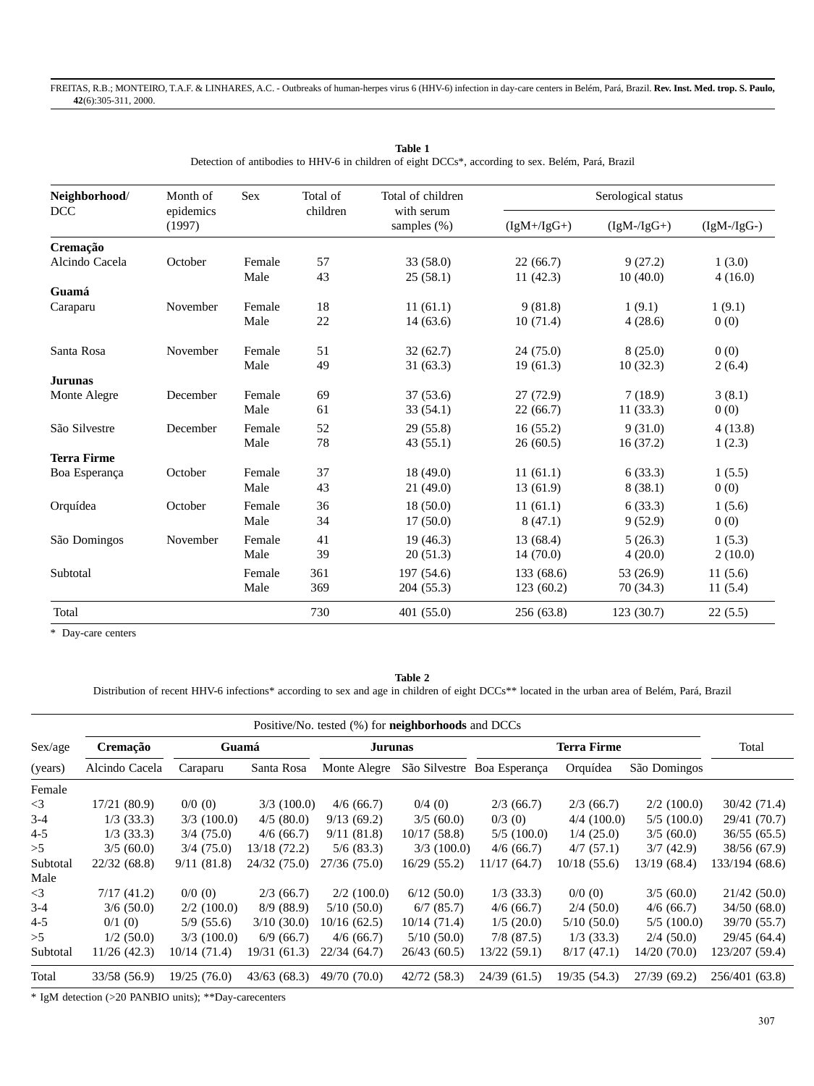| Neighborhood/<br><b>DCC</b> | Month of<br>epidemics<br>(1997) | <b>Sex</b> | Total of<br>children | Total of children<br>with serum<br>samples (%) | Serological status |              |              |  |
|-----------------------------|---------------------------------|------------|----------------------|------------------------------------------------|--------------------|--------------|--------------|--|
|                             |                                 |            |                      |                                                | $(IgM+/IgG+)$      | $(IgM-IgG+)$ | $(IgM-/gG-)$ |  |
| Cremação                    |                                 |            |                      |                                                |                    |              |              |  |
| Alcindo Cacela              | October                         | Female     | 57                   | 33 (58.0)                                      | 22(66.7)           | 9(27.2)      | 1(3.0)       |  |
|                             |                                 | Male       | 43                   | 25(58.1)                                       | 11(42.3)           | 10(40.0)     | 4(16.0)      |  |
| Guamá                       |                                 |            |                      |                                                |                    |              |              |  |
| Caraparu                    | November                        | Female     | 18                   | 11(61.1)                                       | 9(81.8)            | 1(9.1)       | 1(9.1)       |  |
|                             |                                 | Male       | 22                   | 14(63.6)                                       | 10(71.4)           | 4(28.6)      | 0(0)         |  |
| Santa Rosa                  | November                        | Female     | 51                   | 32(62.7)                                       | 24(75.0)           | 8(25.0)      | 0(0)         |  |
|                             |                                 | Male       | 49                   | 31(63.3)                                       | 19(61.3)           | 10(32.3)     | 2(6.4)       |  |
| <b>Jurunas</b>              |                                 |            |                      |                                                |                    |              |              |  |
| Monte Alegre                | December                        | Female     | 69                   | 37(53.6)                                       | 27(72.9)           | 7(18.9)      | 3(8.1)       |  |
|                             |                                 | Male       | 61                   | 33(54.1)                                       | 22(66.7)           | 11(33.3)     | 0(0)         |  |
| São Silvestre               | December                        | Female     | 52                   | 29(55.8)                                       | 16(55.2)           | 9(31.0)      | 4(13.8)      |  |
|                             |                                 | Male       | 78                   | 43(55.1)                                       | 26(60.5)           | 16(37.2)     | 1(2.3)       |  |
| <b>Terra Firme</b>          |                                 |            |                      |                                                |                    |              |              |  |
| Boa Esperança               | October                         | Female     | 37                   | 18(49.0)                                       | 11(61.1)           | 6(33.3)      | 1(5.5)       |  |
|                             |                                 | Male       | 43                   | 21(49.0)                                       | 13(61.9)           | 8(38.1)      | 0(0)         |  |
| Orquídea                    | October                         | Female     | 36                   | 18(50.0)                                       | 11(61.1)           | 6(33.3)      | 1(5.6)       |  |
|                             |                                 | Male       | 34                   | 17(50.0)                                       | 8(47.1)            | 9(52.9)      | 0(0)         |  |
| São Domingos                | November                        | Female     | 41                   | 19(46.3)                                       | 13 (68.4)          | 5(26.3)      | 1(5.3)       |  |
|                             |                                 | Male       | 39                   | 20(51.3)                                       | 14(70.0)           | 4(20.0)      | 2(10.0)      |  |
| Subtotal                    |                                 | Female     | 361                  | 197 (54.6)                                     | 133 (68.6)         | 53 (26.9)    | 11(5.6)      |  |
|                             |                                 | Male       | 369                  | 204 (55.3)                                     | 123(60.2)          | 70 (34.3)    | 11(5.4)      |  |
| Total                       |                                 |            | 730                  | 401(55.0)                                      | 256 (63.8)         | 123(30.7)    | 22(5.5)      |  |

**Table 1** Detection of antibodies to HHV-6 in children of eight DCCs\*, according to sex. Belém, Pará, Brazil

\* Day-care centers

**Table 2**

Distribution of recent HHV-6 infections\* according to sex and age in children of eight DCCs\*\* located in the urban area of Belém, Pará, Brazil

|                           |                |               |               | Positive/No. tested (%) for <b>neighborhoods</b> and DCCs |              |                             |              |              |                |
|---------------------------|----------------|---------------|---------------|-----------------------------------------------------------|--------------|-----------------------------|--------------|--------------|----------------|
| Sex/age                   | Cremação       | Guamá         |               | Jurunas                                                   |              | Terra Firme                 |              |              | Total          |
| (years)                   | Alcindo Cacela | Caraparu      | Santa Rosa    | Monte Alegre                                              |              | São Silvestre Boa Esperança | Orquídea     | São Domingos |                |
| Female                    |                |               |               |                                                           |              |                             |              |              |                |
| $\leq$ 3                  | 17/21 (80.9)   | $0/0$ (0)     | $3/3$ (100.0) | 4/6(66.7)                                                 | $0/4$ (0)    | 2/3(66.7)                   | 2/3(66.7)    | 2/2(100.0)   | 30/42(71.4)    |
| $3-4$                     | 1/3(33.3)      | $3/3$ (100.0) | 4/5(80.0)     | 9/13(69.2)                                                | 3/5(60.0)    | $0/3$ (0)                   | 4/4(100.0)   | 5/5(100.0)   | 29/41 (70.7)   |
| $4 - 5$                   | $1/3$ (33.3)   | 3/4(75.0)     | 4/6(66.7)     | 9/11(81.8)                                                | 10/17(58.8)  | 5/5(100.0)                  | 1/4(25.0)    | 3/5(60.0)    | 36/55(65.5)    |
| >5                        | 3/5(60.0)      | 3/4(75.0)     | 13/18 (72.2)  | 5/6(83.3)                                                 | 3/3(100.0)   | 4/6(66.7)                   | 4/7(57.1)    | 3/7(42.9)    | 38/56 (67.9)   |
| Subtotal                  | 22/32(68.8)    | 9/11(81.8)    | 24/32(75.0)   | 27/36(75.0)                                               | 16/29 (55.2) | 11/17(64.7)                 | 10/18(55.6)  | 13/19 (68.4) | 133/194 (68.6) |
| Male                      |                |               |               |                                                           |              |                             |              |              |                |
| $\leq$ 3                  | 7/17(41.2)     | $0/0$ (0)     | 2/3(66.7)     | 2/2(100.0)                                                | 6/12(50.0)   | $1/3$ (33.3)                | 0/0(0)       | 3/5(60.0)    | 21/42(50.0)    |
| $3-4$                     | 3/6(50.0)      | $2/2$ (100.0) | 8/9(88.9)     | 5/10(50.0)                                                | 6/7(85.7)    | 4/6(66.7)                   | $2/4$ (50.0) | 4/6(66.7)    | 34/50(68.0)    |
| 4-5                       | 0/1(0)         | 5/9(55.6)     | 3/10(30.0)    | 10/16 (62.5)                                              | 10/14(71.4)  | 1/5(20.0)                   | 5/10(50.0)   | 5/5(100.0)   | 39/70 (55.7)   |
| >5                        | 1/2(50.0)      | $3/3$ (100.0) | 6/9(66.7)     | 4/6(66.7)                                                 | 5/10(50.0)   | $7/8$ (87.5)                | 1/3(33.3)    | 2/4(50.0)    | 29/45 (64.4)   |
| Subtotal                  | 11/26(42.3)    | 10/14(71.4)   | 19/31 (61.3)  | 22/34 (64.7)                                              | 26/43 (60.5) | 13/22(59.1)                 | 8/17(47.1)   | 14/20 (70.0) | 123/207 (59.4) |
| Total                     | 33/58 (56.9)   | 19/25(76.0)   | 43/63(68.3)   | 49/70 (70.0)                                              | 42/72 (58.3) | 24/39(61.5)                 | 19/35 (54.3) | 27/39(69.2)  | 256/401 (63.8) |
| $A + B + I$ , $A + B + A$ |                |               |               |                                                           |              |                             |              |              |                |

\* IgM detection (>20 PANBIO units); \*\*Day-carecenters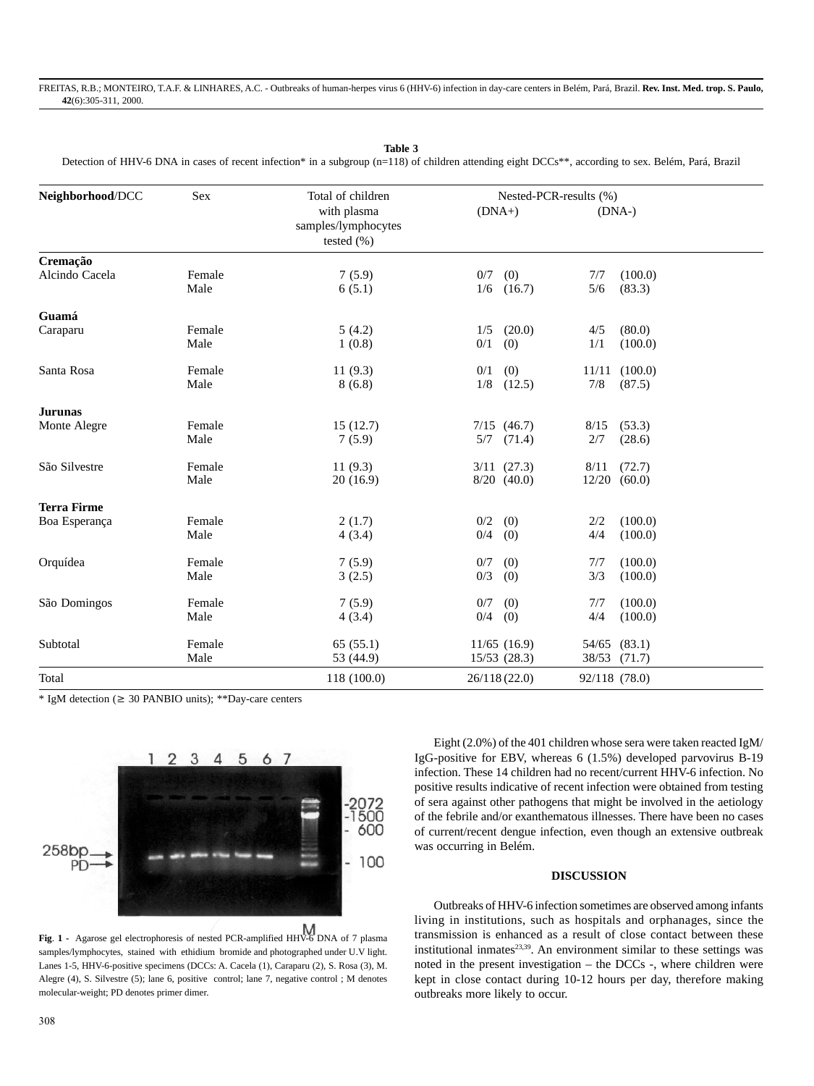**Table 3**

Detection of HHV-6 DNA in cases of recent infection\* in a subgroup (n=118) of children attending eight DCCs\*\*, according to sex. Belém, Pará, Brazil

| Neighborhood/DCC           | Sex            | Total of children                                    | Nested-PCR-results (%) |                                    |                |                          |
|----------------------------|----------------|------------------------------------------------------|------------------------|------------------------------------|----------------|--------------------------|
|                            |                | with plasma<br>samples/lymphocytes<br>tested $(\% )$ | $(DNA+)$               |                                    | $(DNA-)$       |                          |
| Cremação<br>Alcindo Cacela | Female         | 7(5.9)                                               | 0/7                    | (0)                                | 7/7            | (100.0)                  |
|                            | Male           | 6(5.1)                                               | 1/6                    | (16.7)                             | 5/6            | (83.3)                   |
| Guamá                      |                |                                                      |                        |                                    |                |                          |
| Caraparu                   | Female<br>Male | 5(4.2)<br>1(0.8)                                     | 1/5<br>0/1             | (20.0)<br>(0)                      | 4/5<br>1/1     | (80.0)<br>(100.0)        |
| Santa Rosa                 | Female<br>Male | 11(9.3)<br>8(6.8)                                    | 0/1<br>1/8             | (0)<br>(12.5)                      | 11/11<br>7/8   | (100.0)<br>(87.5)        |
| <b>Jurunas</b>             |                |                                                      |                        |                                    |                |                          |
| Monte Alegre               | Female<br>Male | 15(12.7)<br>7(5.9)                                   | 5/7                    | $7/15$ $(46.7)$<br>(71.4)          | 8/15<br>2/7    | (53.3)<br>(28.6)         |
| São Silvestre              | Female<br>Male | 11(9.3)<br>20(16.9)                                  |                        | $3/11$ $(27.3)$<br>$8/20$ $(40.0)$ | 8/11           | (72.7)<br>$12/20$ (60.0) |
| <b>Terra Firme</b>         |                |                                                      |                        |                                    |                |                          |
| Boa Esperança              | Female<br>Male | 2(1.7)<br>4(3.4)                                     | 0/2<br>0/4             | (0)<br>(0)                         | 2/2<br>4/4     | (100.0)<br>(100.0)       |
| Orquídea                   | Female<br>Male | 7(5.9)<br>3(2.5)                                     | 0/7<br>0/3             | (0)<br>(0)                         | 7/7<br>3/3     | (100.0)<br>(100.0)       |
| São Domingos               | Female<br>Male | 7(5.9)<br>4(3.4)                                     | 0/7<br>0/4             | (0)<br>(0)                         | 7/7<br>4/4     | (100.0)<br>(100.0)       |
| Subtotal                   | Female<br>Male | 65(55.1)<br>53 (44.9)                                |                        | $11/65$ (16.9)<br>$15/53$ $(28.3)$ | 54/65<br>38/53 | (83.1)<br>(71.7)         |
| Total                      |                | 118 (100.0)                                          |                        | 26/118(22.0)                       | 92/118 (78.0)  |                          |

 $*$  IgM detection ( $\geq$  30 PANBIO units);  $*$  $\triangle$ Day-care centers



**Fig**. **1 -** Agarose gel electrophoresis of nested PCR-amplified HHV-6 DNA of 7 plasma samples/lymphocytes, stained with ethidium bromide and photographed under U.V light. Lanes 1-5, HHV-6-positive specimens (DCCs: A. Cacela (1), Caraparu (2), S. Rosa (3), M. Alegre (4), S. Silvestre (5); lane 6, positive control; lane 7, negative control ; M denotes molecular-weight; PD denotes primer dimer.

Eight (2.0%) of the 401 children whose sera were taken reacted IgM/ IgG-positive for EBV, whereas 6 (1.5%) developed parvovirus B-19 infection. These 14 children had no recent/current HHV-6 infection. No positive results indicative of recent infection were obtained from testing of sera against other pathogens that might be involved in the aetiology of the febrile and/or exanthematous illnesses. There have been no cases of current/recent dengue infection, even though an extensive outbreak was occurring in Belém.

#### **DISCUSSION**

Outbreaks of HHV-6 infection sometimes are observed among infants living in institutions, such as hospitals and orphanages, since the transmission is enhanced as a result of close contact between these institutional inmates $^{23,39}$ . An environment similar to these settings was noted in the present investigation – the DCCs -, where children were kept in close contact during 10-12 hours per day, therefore making outbreaks more likely to occur.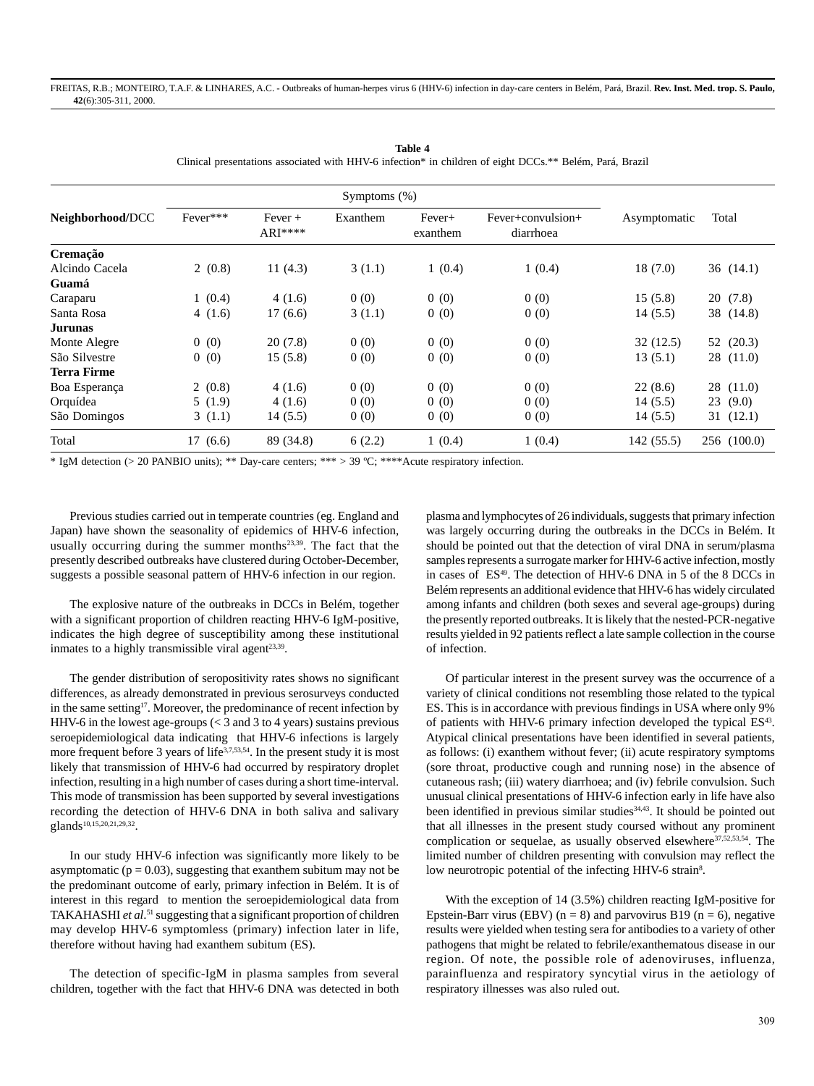| Neighborhood/DCC | Fever*** | $Fever +$<br>$ARI***$ | Exanthem | Fever+<br>exanthem | Fever+convulsion+<br>diarrhoea | Asymptomatic | Total       |
|------------------|----------|-----------------------|----------|--------------------|--------------------------------|--------------|-------------|
| Cremação         |          |                       |          |                    |                                |              |             |
| Alcindo Cacela   | 2(0.8)   | 11 $(4.3)$            | 3(1.1)   | 1(0.4)             | 1(0.4)                         | 18(7.0)      | 36(14.1)    |
| Guamá            |          |                       |          |                    |                                |              |             |
| Caraparu         | 1(0.4)   | 4(1.6)                | 0(0)     | 0(0)               | 0(0)                           | 15(5.8)      | 20(7.8)     |
| Santa Rosa       | 4(1.6)   | 17(6.6)               | 3(1.1)   | 0(0)               | 0(0)                           | 14(5.5)      | 38 (14.8)   |
| Jurunas          |          |                       |          |                    |                                |              |             |
| Monte Alegre     | 0(0)     | 20(7.8)               | 0(0)     | 0(0)               | 0(0)                           | 32(12.5)     | 52 (20.3)   |
| São Silvestre    | 0(0)     | 15(5.8)               | 0(0)     | 0(0)               | 0(0)                           | 13(5.1)      | 28(11.0)    |
| Terra Firme      |          |                       |          |                    |                                |              |             |
| Boa Esperança    | 2(0.8)   | 4(1.6)                | 0(0)     | 0(0)               | 0(0)                           | 22(8.6)      | 28 (11.0)   |
| Orquídea         | 5(1.9)   | 4(1.6)                | 0(0)     | 0(0)               | 0(0)                           | 14(5.5)      | 23(9.0)     |
| São Domingos     | 3(1.1)   | 14(5.5)               | 0(0)     | 0(0)               | 0(0)                           | 14(5.5)      | 31(12.1)    |
| Total            | 17(6.6)  | 89 (34.8)             | 6(2.2)   | 1(0.4)             | 1(0.4)                         | 142(55.5)    | 256 (100.0) |

**Table 4** Clinical presentations associated with HHV-6 infection\* in children of eight DCCs.\*\* Belém, Pará, Brazil

\* IgM detection (> 20 PANBIO units); \*\* Day-care centers; \*\*\* > 39 ºC; \*\*\*\*Acute respiratory infection.

Previous studies carried out in temperate countries (eg. England and Japan) have shown the seasonality of epidemics of HHV-6 infection, usually occurring during the summer months<sup>23,39</sup>. The fact that the presently described outbreaks have clustered during October-December, suggests a possible seasonal pattern of HHV-6 infection in our region.

The explosive nature of the outbreaks in DCCs in Belém, together with a significant proportion of children reacting HHV-6 IgM-positive, indicates the high degree of susceptibility among these institutional inmates to a highly transmissible viral agent<sup>23,39</sup>.

The gender distribution of seropositivity rates shows no significant differences, as already demonstrated in previous serosurveys conducted in the same setting<sup>17</sup>. Moreover, the predominance of recent infection by HHV-6 in the lowest age-groups (< 3 and 3 to 4 years) sustains previous seroepidemiological data indicating that HHV-6 infections is largely more frequent before 3 years of life<sup>3,7,53,54</sup>. In the present study it is most likely that transmission of HHV-6 had occurred by respiratory droplet infection, resulting in a high number of cases during a short time-interval. This mode of transmission has been supported by several investigations recording the detection of HHV-6 DNA in both saliva and salivary glands<sup>10,15,20,21,29,32</sup>.

In our study HHV-6 infection was significantly more likely to be asymptomatic ( $p = 0.03$ ), suggesting that exanthem subitum may not be the predominant outcome of early, primary infection in Belém. It is of interest in this regard to mention the seroepidemiological data from TAKAHASHI et al.<sup>51</sup> suggesting that a significant proportion of children may develop HHV-6 symptomless (primary) infection later in life, therefore without having had exanthem subitum (ES).

The detection of specific-IgM in plasma samples from several children, together with the fact that HHV-6 DNA was detected in both plasma and lymphocytes of 26 individuals, suggests that primary infection was largely occurring during the outbreaks in the DCCs in Belém. It should be pointed out that the detection of viral DNA in serum/plasma samples represents a surrogate marker for HHV-6 active infection, mostly in cases of  $ES<sup>49</sup>$ . The detection of HHV-6 DNA in 5 of the 8 DCCs in Belém represents an additional evidence that HHV-6 has widely circulated among infants and children (both sexes and several age-groups) during the presently reported outbreaks. It is likely that the nested-PCR-negative results yielded in 92 patients reflect a late sample collection in the course of infection.

Of particular interest in the present survey was the occurrence of a variety of clinical conditions not resembling those related to the typical ES. This is in accordance with previous findings in USA where only 9% of patients with HHV-6 primary infection developed the typical ES<sup>43</sup>. Atypical clinical presentations have been identified in several patients, as follows: (i) exanthem without fever; (ii) acute respiratory symptoms (sore throat, productive cough and running nose) in the absence of cutaneous rash; (iii) watery diarrhoea; and (iv) febrile convulsion. Such unusual clinical presentations of HHV-6 infection early in life have also been identified in previous similar studies<sup>34,43</sup>. It should be pointed out that all illnesses in the present study coursed without any prominent complication or sequelae, as usually observed elsewhere<sup>37,52,53,54</sup>. The limited number of children presenting with convulsion may reflect the low neurotropic potential of the infecting HHV-6 strain<sup>8</sup>.

With the exception of 14 (3.5%) children reacting IgM-positive for Epstein-Barr virus (EBV) ( $n = 8$ ) and parvovirus B19 ( $n = 6$ ), negative results were yielded when testing sera for antibodies to a variety of other pathogens that might be related to febrile/exanthematous disease in our region. Of note, the possible role of adenoviruses, influenza, parainfluenza and respiratory syncytial virus in the aetiology of respiratory illnesses was also ruled out.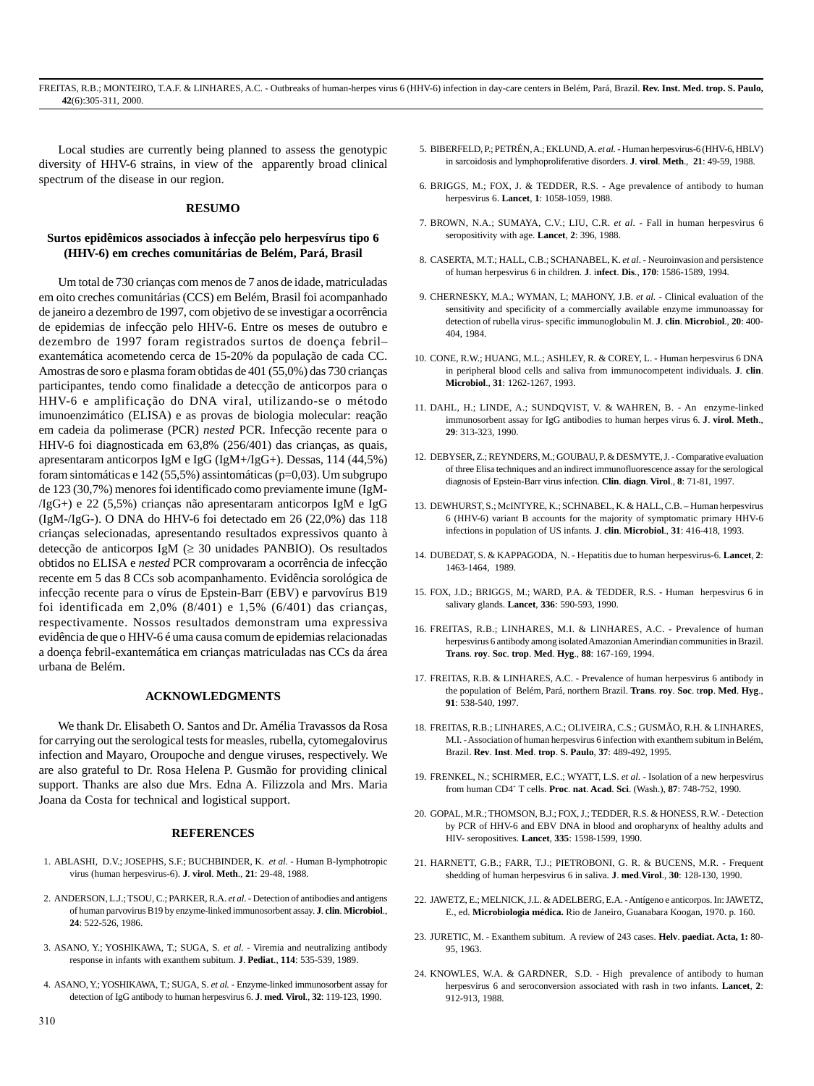Local studies are currently being planned to assess the genotypic diversity of HHV-6 strains, in view of the apparently broad clinical spectrum of the disease in our region.

#### **RESUMO**

## **Surtos epidêmicos associados à infecção pelo herpesvírus tipo 6 (HHV-6) em creches comunitárias de Belém, Pará, Brasil**

Um total de 730 crianças com menos de 7 anos de idade, matriculadas em oito creches comunitárias (CCS) em Belém, Brasil foi acompanhado de janeiro a dezembro de 1997, com objetivo de se investigar a ocorrência de epidemias de infecção pelo HHV-6. Entre os meses de outubro e dezembro de 1997 foram registrados surtos de doença febril– exantemática acometendo cerca de 15-20% da população de cada CC. Amostras de soro e plasma foram obtidas de 401 (55,0%) das 730 crianças participantes, tendo como finalidade a detecção de anticorpos para o HHV-6 e amplificação do DNA viral, utilizando-se o método imunoenzimático (ELISA) e as provas de biologia molecular: reação em cadeia da polimerase (PCR) *nested* PCR. Infecção recente para o HHV-6 foi diagnosticada em 63,8% (256/401) das crianças, as quais, apresentaram anticorpos IgM e IgG (IgM+/IgG+). Dessas, 114 (44,5%) foram sintomáticas e 142 (55,5%) assintomáticas ( $p=0.03$ ). Um subgrupo de 123 (30,7%) menores foi identificado como previamente imune (IgM- /IgG+) e 22 (5,5%) crianças não apresentaram anticorpos IgM e IgG (IgM-/IgG-). O DNA do HHV-6 foi detectado em 26 (22,0%) das 118 crianças selecionadas, apresentando resultados expressivos quanto à detecção de anticorpos IgM  $( \geq 30 \text{ unidades PANBIO})$ . Os resultados obtidos no ELISA e *nested* PCR comprovaram a ocorrência de infecção recente em 5 das 8 CCs sob acompanhamento. Evidência sorológica de infecção recente para o vírus de Epstein-Barr (EBV) e parvovírus B19 foi identificada em 2,0% (8/401) e 1,5% (6/401) das crianças, respectivamente. Nossos resultados demonstram uma expressiva evidência de que o HHV-6 é uma causa comum de epidemias relacionadas a doença febril-exantemática em crianças matriculadas nas CCs da área urbana de Belém.

#### **ACKNOWLEDGMENTS**

We thank Dr. Elisabeth O. Santos and Dr. Amélia Travassos da Rosa for carrying out the serological tests for measles, rubella, cytomegalovirus infection and Mayaro, Oroupoche and dengue viruses, respectively. We are also grateful to Dr. Rosa Helena P. Gusmão for providing clinical support. Thanks are also due Mrs. Edna A. Filizzola and Mrs. Maria Joana da Costa for technical and logistical support.

#### **REFERENCES**

- 1. ABLASHI, D.V.; JOSEPHS, S.F.; BUCHBINDER, K. *et al.* Human B-lymphotropic virus (human herpesvirus-6). **J**. **virol**. **Meth**., **21**: 29-48, 1988.
- 2. ANDERSON, L.J.; TSOU, C.; PARKER, R.A. *et al*. Detection of antibodies and antigens of human parvovirus B19 by enzyme-linked immunosorbent assay. **J**. **clin**. **Microbiol**., **24**: 522-526, 1986.
- 3. ASANO, Y.; YOSHIKAWA, T.; SUGA, S. *et al*. Viremia and neutralizing antibody response in infants with exanthem subitum. **J**. **Pediat**., **114**: 535-539, 1989.
- 4. ASANO, Y.; YOSHIKAWA, T.; SUGA, S. *et al.* Enzyme-linked immunosorbent assay for detection of IgG antibody to human herpesvirus 6. **J**. **med**. **Virol**., **32**: 119-123, 1990.
- 5. BIBERFELD, P.; PETRÉN, A.; EKLUND, A. *et al.* Human herpesvirus-6 (HHV-6, HBLV) in sarcoidosis and lymphoproliferative disorders. **J**. **virol**. **Meth**., **21**: 49-59, 1988.
- 6. BRIGGS, M.; FOX, J. & TEDDER, R.S. Age prevalence of antibody to human herpesvirus 6. **Lancet**, **1**: 1058-1059, 1988.
- 7. BROWN, N.A.; SUMAYA, C.V.; LIU, C.R. *et al.* Fall in human herpesvirus 6 seropositivity with age. **Lancet**, **2**: 396, 1988.
- 8. CASERTA, M.T.; HALL, C.B.; SCHANABEL, K. *et al*. Neuroinvasion and persistence of human herpesvirus 6 in children. **J**. i**nfect**. **Dis**., **170**: 1586-1589, 1994.
- 9. CHERNESKY, M.A.; WYMAN, L; MAHONY, J.B. *et al.* Clinical evaluation of the sensitivity and specificity of a commercially available enzyme immunoassay for detection of rubella virus- specific immunoglobulin M. **J**. **clin**. **Microbiol**., **20**: 400- 404, 1984.
- 10. CONE, R.W.; HUANG, M.L.; ASHLEY, R. & COREY, L. Human herpesvirus 6 DNA in peripheral blood cells and saliva from immunocompetent individuals. **J**. **clin**. **Microbiol**., **31**: 1262-1267, 1993.
- 11. DAHL, H.; LINDE, A.; SUNDQVIST, V. & WAHREN, B. An enzyme-linked immunosorbent assay for IgG antibodies to human herpes virus 6. **J**. **virol**. **Meth**., **29**: 313-323, 1990.
- 12. DEBYSER, Z.; REYNDERS, M.; GOUBAU, P. & DESMYTE, J. Comparative evaluation of three Elisa techniques and an indirect immunofluorescence assay for the serological diagnosis of Epstein-Barr virus infection. **Clin**. **diagn**. **Virol**., **8**: 71-81, 1997.
- 13. DEWHURST, S.; McINTYRE, K.; SCHNABEL, K. & HALL, C.B. Human herpesvirus 6 (HHV-6) variant B accounts for the majority of symptomatic primary HHV-6 infections in population of US infants. **J**. **clin**. **Microbiol**., **31**: 416-418, 1993.
- 14. DUBEDAT, S. & KAPPAGODA, N. Hepatitis due to human herpesvirus-6. **Lancet**, **2**: 1463-1464, 1989.
- 15. FOX, J.D.; BRIGGS, M.; WARD, P.A. & TEDDER, R.S. Human herpesvirus 6 in salivary glands. **Lancet**, **336**: 590-593, 1990.
- 16. FREITAS, R.B.; LINHARES, M.I. & LINHARES, A.C. Prevalence of human herpesvirus 6 antibody among isolated Amazonian Amerindian communities in Brazil. **Trans**. **roy**. **Soc**. **trop**. **Med**. **Hyg**., **88**: 167-169, 1994.
- 17. FREITAS, R.B. & LINHARES, A.C. Prevalence of human herpesvirus 6 antibody in the population of Belém, Pará, northern Brazil. **Trans**. **roy**. **Soc**. t**rop**. **Med**. **Hyg**., **91**: 538-540, 1997.
- 18. FREITAS, R.B.; LINHARES, A.C.; OLIVEIRA, C.S.; GUSMÃO, R.H. & LINHARES, M.I. - Association of human herpesvirus 6 infection with exanthem subitum in Belém, Brazil. **Rev**. **Inst**. **Med**. **trop**. **S. Paulo**, **37**: 489-492, 1995.
- 19. FRENKEL, N.; SCHIRMER, E.C.; WYATT, L.S. *et al*. Isolation of a new herpesvirus from human CD4+ T cells. **Proc**. **nat**. **Acad**. **Sci**. (Wash.), **87**: 748-752, 1990.
- 20. GOPAL, M.R.; THOMSON, B.J.; FOX, J.; TEDDER, R.S. & HONESS, R.W. Detection by PCR of HHV-6 and EBV DNA in blood and oropharynx of healthy adults and HIV- seropositives. **Lancet**, **335**: 1598-1599, 1990.
- 21. HARNETT, G.B.; FARR, T.J.; PIETROBONI, G. R. & BUCENS, M.R. Frequent shedding of human herpesvirus 6 in saliva. **J**. **med**.**Virol**., **30**: 128-130, 1990.
- 22. JAWETZ, E.; MELNICK, J.L. & ADELBERG, E.A. Antígeno e anticorpos. In: JAWETZ, E., ed. **Microbiologia médica.** Rio de Janeiro, Guanabara Koogan, 1970. p. 160.
- 23. JURETIC, M. Exanthem subitum. A review of 243 cases. **Helv**. **paediat. Acta, 1:** 80- 95, 1963.
- 24. KNOWLES, W.A. & GARDNER, S.D. High prevalence of antibody to human herpesvirus 6 and seroconversion associated with rash in two infants. **Lancet**, **2**: 912-913, 1988.